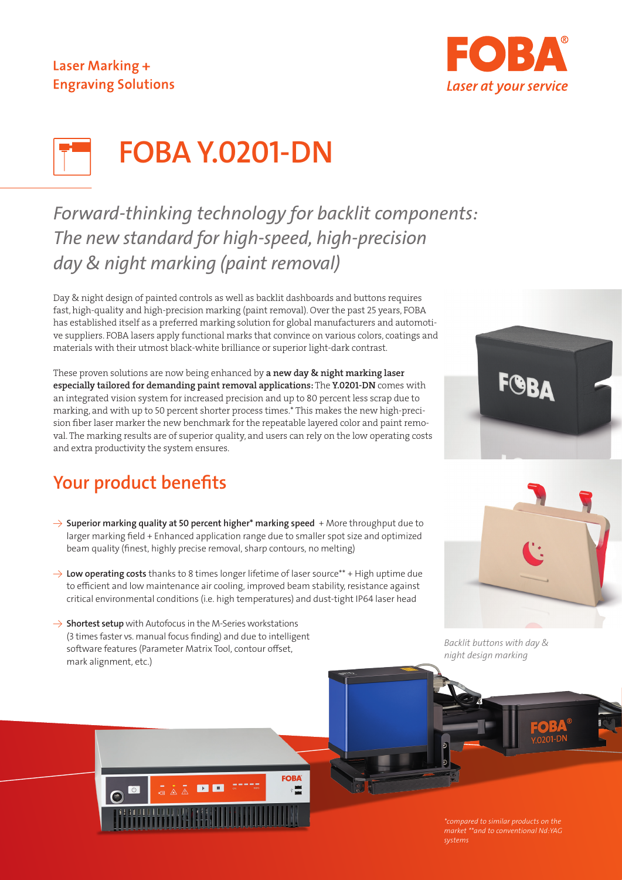## Laser Marking + **Engraving Solutions**



# FOBA Y.0201-DN

# *Forward-thinking technology for backlit components: The new standard for high-speed, high-precision day & night marking (paint removal)*

Day & night design of painted controls as well as backlit dashboards and buttons requires fast, high-quality and high-precision marking (paint removal). Over the past 25 years, FOBA has established itself as a preferred marking solution for global manufacturers and automotive suppliers. FOBA lasers apply functional marks that convince on various colors, coatings and materials with their utmost black-white brilliance or superior light-dark contrast.

These proven solutions are now being enhanced by a new day & night marking laser especially tailored for demanding paint removal applications: The Y.0201-DN comes with an integrated vision system for increased precision and up to 80 percent less scrap due to marking, and with up to 50 percent shorter process times.\* This makes the new high-precision fiber laser marker the new benchmark for the repeatable layered color and paint removal. The marking results are of superior quality, and users can rely on the low operating costs and extra productivity the system ensures.

# Your product benefits

- $\rightarrow$  Superior marking quality at 50 percent higher\* marking speed + More throughput due to larger marking field + Enhanced application range due to smaller spot size and optimized beam quality (finest, highly precise removal, sharp contours, no melting)
- $\rightarrow$  Low operating costs thanks to 8 times longer lifetime of laser source\*\* + High uptime due to efficient and low maintenance air cooling, improved beam stability, resistance against critical environmental conditions (i.e. high temperatures) and dust-tight IP64 laser head

**FOBA** 

 $\rightarrow$  Shortest setup with Autofocus in the M-Series workstations (3 times faster vs. manual focus finding) and due to intelligent software features (Parameter Matrix Tool, contour offset, mark alignment, etc.)

 $\blacksquare$ 





*Backlit buttons with day & night design marking*

*\*compared to similar products on the systems*